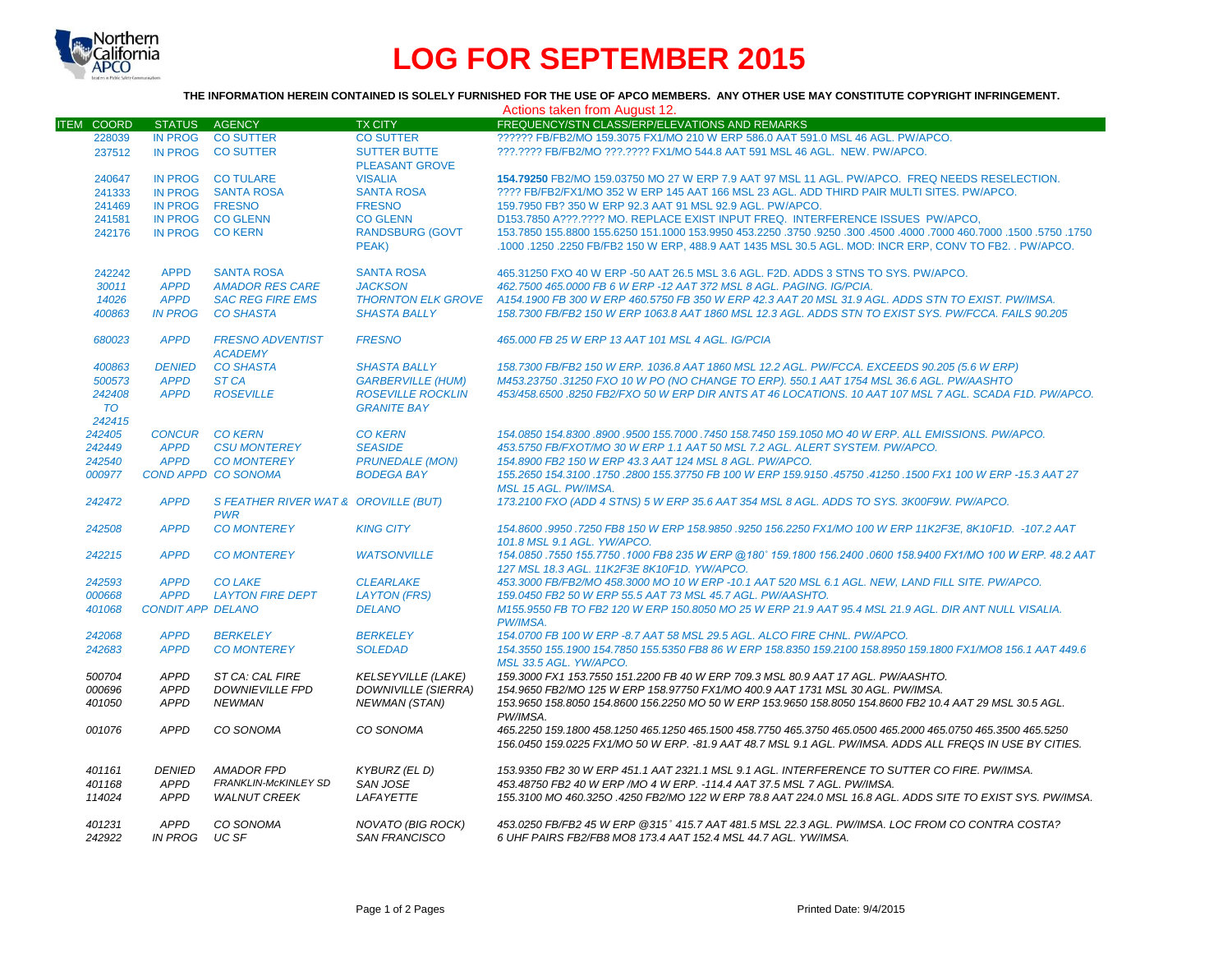

# **LOG FOR SEPTEMBER 2015**

#### **THE INFORMATION HEREIN CONTAINED IS SOLELY FURNISHED FOR THE USE OF APCO MEMBERS. ANY OTHER USE MAY CONSTITUTE COPYRIGHT INFRINGEMENT.**

| Actions taken from August 12. |                          |                                                    |                                              |                                                                                                                                                                                                                         |  |  |  |
|-------------------------------|--------------------------|----------------------------------------------------|----------------------------------------------|-------------------------------------------------------------------------------------------------------------------------------------------------------------------------------------------------------------------------|--|--|--|
| <b>ITEM COORD</b>             | STATUS AGENCY            |                                                    | <b>TX CITY</b>                               | FREQUENCY/STN CLASS/ERP/ELEVATIONS AND REMARKS                                                                                                                                                                          |  |  |  |
| 228039                        | IN PROG                  | <b>CO SUTTER</b>                                   | <b>CO SUTTER</b>                             | ?????? FB/FB2/MO 159.3075 FX1/MO 210 W ERP 586.0 AAT 591.0 MSL 46 AGL, PW/APCO.                                                                                                                                         |  |  |  |
| 237512                        | <b>IN PROG</b>           | <b>CO SUTTER</b>                                   | <b>SUTTER BUTTE</b><br><b>PLEASANT GROVE</b> | ???.???? FB/FB2/MO ???.???? FX1/MO 544.8 AAT 591 MSL 46 AGL. NEW. PW/APCO.                                                                                                                                              |  |  |  |
| 240647                        |                          | IN PROG CO TULARE                                  | <b>VISALIA</b>                               | 154.79250 FB2/MO 159.03750 MO 27 W ERP 7.9 AAT 97 MSL 11 AGL, PW/APCO. FREQ NEEDS RESELECTION.                                                                                                                          |  |  |  |
| 241333                        | IN PROG                  | <b>SANTA ROSA</b>                                  | <b>SANTA ROSA</b>                            | ???? FB/FB2/FX1/MO 352 W ERP 145 AAT 166 MSL 23 AGL. ADD THIRD PAIR MULTI SITES, PW/APCO.                                                                                                                               |  |  |  |
| 241469                        | IN PROG FRESNO           |                                                    | <b>FRESNO</b>                                | 159.7950 FB? 350 W ERP 92.3 AAT 91 MSL 92.9 AGL. PW/APCO.                                                                                                                                                               |  |  |  |
| 241581                        |                          | IN PROG CO GLENN                                   | <b>CO GLENN</b>                              | D153.7850 A???.???? MO. REPLACE EXIST INPUT FREQ. INTERFERENCE ISSUES PW/APCO,                                                                                                                                          |  |  |  |
| 242176                        | <b>IN PROG</b>           | <b>CO KERN</b>                                     | <b>RANDSBURG (GOVT</b>                       | 150. 1750. 1600. 17000 160.7000 160.7000 163.9950 151.1000 153.9950 163.2250 1750. 153.7850 155.8800 155.6250                                                                                                           |  |  |  |
|                               |                          |                                                    | PEAK)                                        | .1000 .1250 .2250 FB/FB2 150 W ERP, 488.9 AAT 1435 MSL 30.5 AGL. MOD: INCR ERP, CONV TO FB2. . PW/APCO.                                                                                                                 |  |  |  |
| 242242                        | <b>APPD</b>              | <b>SANTA ROSA</b>                                  | <b>SANTA ROSA</b>                            | 465.31250 FXO 40 W ERP -50 AAT 26.5 MSL 3.6 AGL. F2D. ADDS 3 STNS TO SYS. PW/APCO.                                                                                                                                      |  |  |  |
| 30011                         | <b>APPD</b>              | <b>AMADOR RES CARE</b>                             | <b>JACKSON</b>                               | 462.7500 465.0000 FB 6 W ERP -12 AAT 372 MSL 8 AGL, PAGING, IG/PCIA.                                                                                                                                                    |  |  |  |
| 14026                         | <b>APPD</b>              | <b>SAC REG FIRE EMS</b>                            |                                              | THORNTON ELK GROVE A154.1900 FB 300 W ERP 460.5750 FB 350 W ERP 42.3 AAT 20 MSL 31.9 AGL. ADDS STN TO EXIST. PW/IMSA.                                                                                                   |  |  |  |
| 400863                        | <b>IN PROG</b>           | <b>CO SHASTA</b>                                   | <b>SHASTA BALLY</b>                          | 158.7300 FB/FB2 150 W ERP 1063.8 AAT 1860 MSL 12.3 AGL. ADDS STN TO EXIST SYS. PW/FCCA. FAILS 90.205                                                                                                                    |  |  |  |
| 680023                        | <b>APPD</b>              | <b>FRESNO ADVENTIST</b><br><b>ACADEMY</b>          | <b>FRESNO</b>                                | 465.000 FB 25 W ERP 13 AAT 101 MSL 4 AGL. IG/PCIA                                                                                                                                                                       |  |  |  |
| 400863                        | <b>DENIED</b>            | <b>CO SHASTA</b>                                   | <b>SHASTA BALLY</b>                          | 158.7300 FB/FB2 150 W ERP. 1036.8 AAT 1860 MSL 12.2 AGL. PW/FCCA. EXCEEDS 90.205 (5.6 W ERP)                                                                                                                            |  |  |  |
| 500573                        | <b>APPD</b>              | ST <sub>CA</sub>                                   | <b>GARBERVILLE (HUM)</b>                     | M453.23750.31250 FXO 10 W PO (NO CHANGE TO ERP). 550.1 AAT 1754 MSL 36.6 AGL. PW/AASHTO                                                                                                                                 |  |  |  |
| 242408                        | <b>APPD</b>              | <b>ROSEVILLE</b>                                   | <b>ROSEVILLE ROCKLIN</b>                     | 453/458.6500 .8250 FB2/FXO 50 W ERP DIR ANTS AT 46 LOCATIONS. 10 AAT 107 MSL 7 AGL. SCADA F1D. PW/APCO.                                                                                                                 |  |  |  |
| <b>TO</b><br>242415           |                          |                                                    | <b>GRANITE BAY</b>                           |                                                                                                                                                                                                                         |  |  |  |
| 242405                        | CONCUR CO KERN           |                                                    | <b>CO KERN</b>                               | 154.0850 154.8300 .8900 .9500 155.7000 .7450 158.7450 159.1050 MO 40 W ERP. ALL EMISSIONS. PW/APCO.                                                                                                                     |  |  |  |
| 242449                        | <b>APPD</b>              | <b>CSU MONTEREY</b>                                | <b>SEASIDE</b>                               | 453.5750 FB/FXOT/MO 30 W ERP 1.1 AAT 50 MSL 7.2 AGL. ALERT SYSTEM. PW/APCO.                                                                                                                                             |  |  |  |
| 242540                        | <b>APPD</b>              | <b>CO MONTEREY</b>                                 | <b>PRUNEDALE (MON)</b>                       | 154.8900 FB2 150 W ERP 43.3 AAT 124 MSL 8 AGL, PW/APCO,                                                                                                                                                                 |  |  |  |
| 000977                        |                          | COND APPD CO SONOMA                                | <b>BODEGA BAY</b>                            | 155,2650 154,3100 1750 .2800 155,37750 FB 100 W ERP 159,9150 .45750 .41250 .1500 FX1 100 W ERP -15.3 AAT 27                                                                                                             |  |  |  |
|                               |                          |                                                    |                                              | MSL 15 AGL. PW/IMSA.                                                                                                                                                                                                    |  |  |  |
| 242472                        | <b>APPD</b>              | S FEATHER RIVER WAT & OROVILLE (BUT)<br><b>PWR</b> |                                              | 173.2100 FXO (ADD 4 STNS) 5 W ERP 35.6 AAT 354 MSL 8 AGL. ADDS TO SYS. 3K00F9W. PW/APCO.                                                                                                                                |  |  |  |
| 242508                        | <b>APPD</b>              | <b>CO MONTEREY</b>                                 | <b>KING CITY</b>                             | 154.8600 .9950 .7250 FB8 150 W ERP 158.9850 .9250 156.2250 FX1/MO 100 W ERP 11K2F3E. 8K10F1D. -107.2 AAT<br>101.8 MSL 9.1 AGL. YW/APCO.                                                                                 |  |  |  |
| 242215                        | <b>APPD</b>              | <b>CO MONTEREY</b>                                 | <b>WATSONVILLE</b>                           | 154.0850 .7550 155.7750 .1000 FB8 235 W ERP @180° 159.1800 156.2400 .0600 158.9400 FX1/MO 100 W ERP. 48.2 AAT<br>127 MSL 18.3 AGL, 11K2F3E 8K10F1D, YW/APCO,                                                            |  |  |  |
| 242593                        | <b>APPD</b>              | <b>CO LAKE</b>                                     | <b>CLEARLAKE</b>                             | 453.3000 FB/FB2/MO 458.3000 MO 10 W ERP -10.1 AAT 520 MSL 6.1 AGL. NEW, LAND FILL SITE. PW/APCO.                                                                                                                        |  |  |  |
| 000668                        | <b>APPD</b>              | <b>LAYTON FIRE DEPT</b>                            | <b>LAYTON (FRS)</b>                          | 159.0450 FB2 50 W ERP 55.5 AAT 73 MSL 45.7 AGL, PW/AASHTO.                                                                                                                                                              |  |  |  |
| 401068                        | <b>CONDIT APP DELANO</b> |                                                    | <b>DELANO</b>                                | M155,9550 FB TO FB2 120 W ERP 150,8050 MO 25 W ERP 21.9 AAT 95.4 MSL 21.9 AGL, DIR ANT NULL VISALIA.<br>PW/IMSA.                                                                                                        |  |  |  |
| 242068                        | <b>APPD</b>              | <b>BERKELEY</b>                                    | <b>BERKELEY</b>                              | 154.0700 FB 100 W ERP -8.7 AAT 58 MSL 29.5 AGL. ALCO FIRE CHNL. PW/APCO.                                                                                                                                                |  |  |  |
| 242683                        | <b>APPD</b>              | <b>CO MONTEREY</b>                                 | <b>SOLEDAD</b>                               | 154.3550 155,1900 154.7850 155.5350 FB8 86 W ERP 158.8350 159.2100 158.8950 159.1800 FX1/MO8 156.1 AAT 449.6<br>MSL 33.5 AGL, YW/APCO.                                                                                  |  |  |  |
| 500704                        | <b>APPD</b>              | ST CA: CAL FIRE                                    | <b>KELSEYVILLE (LAKE)</b>                    | 159.3000 FX1 153.7550 151.2200 FB 40 W ERP 709.3 MSL 80.9 AAT 17 AGL. PW/AASHTO.                                                                                                                                        |  |  |  |
| 000696                        | <b>APPD</b>              | <b>DOWNIEVILLE FPD</b>                             | <b>DOWNIVILLE (SIERRA)</b>                   | 154.9650 FB2/MO 125 W ERP 158.97750 FX1/MO 400.9 AAT 1731 MSL 30 AGL, PW/IMSA.                                                                                                                                          |  |  |  |
| 401050                        | <b>APPD</b>              | <b>NEWMAN</b>                                      | <b>NEWMAN (STAN)</b>                         | 153.9650 158.8050 154.8600 156.2250 MO 50 W ERP 153.9650 158.8050 154.8600 FB2 10.4 AAT 29 MSL 30.5 AGL.<br>PW/IMSA.                                                                                                    |  |  |  |
| 001076                        | <b>APPD</b>              | CO SONOMA                                          | CO SONOMA                                    | 465.2250 159.1800 458.1250 465.1250 465.1500 458.7750 465.3750 465.0500 465.2000 465.0750 465.3500 465.5250<br>156.0450 159.0225 FX1/MO 50 W ERP. -81.9 AAT 48.7 MSL 9.1 AGL. PW/IMSA, ADDS ALL FREQS IN USE BY CITIES. |  |  |  |
| 401161                        | <b>DENIED</b>            | <b>AMADOR FPD</b>                                  | <b>KYBURZ (EL D)</b>                         | 153.9350 FB2 30 W ERP 451.1 AAT 2321.1 MSL 9.1 AGL. INTERFERENCE TO SUTTER CO FIRE. PW/IMSA.                                                                                                                            |  |  |  |
| 401168                        | <b>APPD</b>              | FRANKLIN-McKINLEY SD                               | <b>SAN JOSE</b>                              | 453.48750 FB2 40 W ERP / MO 4 W ERP. - 114.4 AAT 37.5 MSL 7 AGL. PW/IMSA.                                                                                                                                               |  |  |  |
| 114024                        | <b>APPD</b>              | <b>WALNUT CREEK</b>                                | <b>LAFAYETTE</b>                             | 155.3100 MO 460.3250 .4250 FB2/MO 122 W ERP 78.8 AAT 224.0 MSL 16.8 AGL. ADDS SITE TO EXIST SYS. PW/IMSA.                                                                                                               |  |  |  |
| 401231<br>242922              | APPD<br>IN PROG          | CO SONOMA<br>UC SF                                 | NOVATO (BIG ROCK)<br><b>SAN FRANCISCO</b>    | 453.0250 FB/FB2 45 W ERP @315° 415.7 AAT 481.5 MSL 22.3 AGL. PW/IMSA. LOC FROM CO CONTRA COSTA?<br>6 UHF PAIRS FB2/FB8 MO8 173.4 AAT 152.4 MSL 44.7 AGL, YW/IMSA.                                                       |  |  |  |